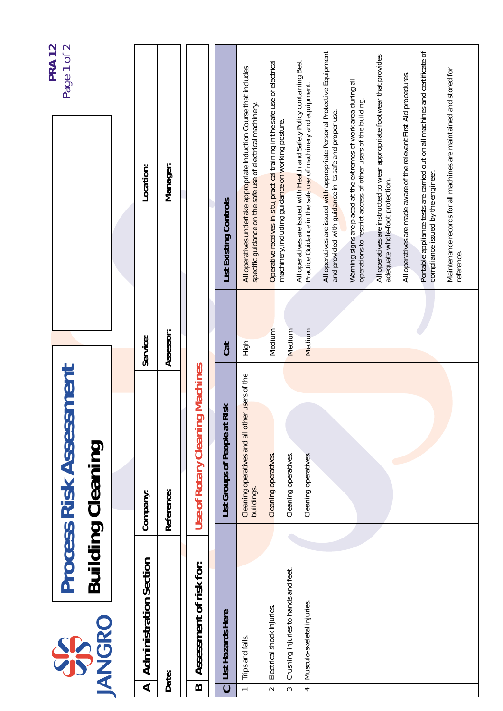|                       |                                                                    |                                                              |                  |                                                                                                                                   | <b>PRA 12</b><br>Page 1 of 2                                                 |
|-----------------------|--------------------------------------------------------------------|--------------------------------------------------------------|------------------|-----------------------------------------------------------------------------------------------------------------------------------|------------------------------------------------------------------------------|
|                       | <b>IANGRO</b><br>SSS                                               | <b>Process Risk Assessment</b><br><b>Building Cleaning</b>   |                  |                                                                                                                                   |                                                                              |
|                       |                                                                    |                                                              |                  |                                                                                                                                   |                                                                              |
| ⋖                     | <b>Administration Section</b>                                      | Company:                                                     | Service:         | Location:                                                                                                                         |                                                                              |
|                       | Date:                                                              | Reference:                                                   | Assessor:        | Manager:                                                                                                                          |                                                                              |
| $\boldsymbol{\omega}$ | Assessment of risk for:                                            | <b>Use of Rotary Cleaning Machines</b>                       |                  |                                                                                                                                   |                                                                              |
| $\overline{c}$        | List Hazards Here                                                  | Risk<br>List Groups of People at                             | Cat              | List Existing Controls                                                                                                            |                                                                              |
|                       | Trips and falls.                                                   | Cleaning operatives and all other users of the<br>buildings. | High             | specific guidance on the safe use of electrical machinery.                                                                        | All operatives undertake appropriate Induction Course that includes          |
| $\sim$                | Electrical shock injuries.                                         | Cleaning operatives.                                         | Medium           | machinery, including guidance on working posture.                                                                                 | Operative receives in-situ, practical training in the safe use of electrical |
| S<br>4                | Crushing injuries to hands and feet.<br>Musculo-skeletal injuries. | Cleaning operatives.<br>Cleaning operatives.                 | Medium<br>Medium | Practice Guidance in the safe use of machinery and equipment.                                                                     | All operatives are issued with Health and Safety Policy containing Best      |
|                       |                                                                    |                                                              |                  | and provided with guidance in its safe and proper use.                                                                            | All operatives are issued with appropriate Personal Protective Equipment     |
|                       |                                                                    |                                                              |                  | Warning signs are placed at the extremes of work area during all<br>operations to restrict access of other users of the building. |                                                                              |
|                       |                                                                    |                                                              |                  | adequate whole-foot protection.                                                                                                   | All operatives are instructed to wear appropriate footwear that provides     |
|                       |                                                                    |                                                              |                  | All operatives are made aware of the relevant First Aid procedures.                                                               | Portable appliance tests are carried out on all machines and certificate of  |
|                       |                                                                    |                                                              |                  | compliance issued by the engineer.                                                                                                |                                                                              |
|                       |                                                                    |                                                              |                  | reference.                                                                                                                        | Maintenance records for all machines are maintained and stored for           |